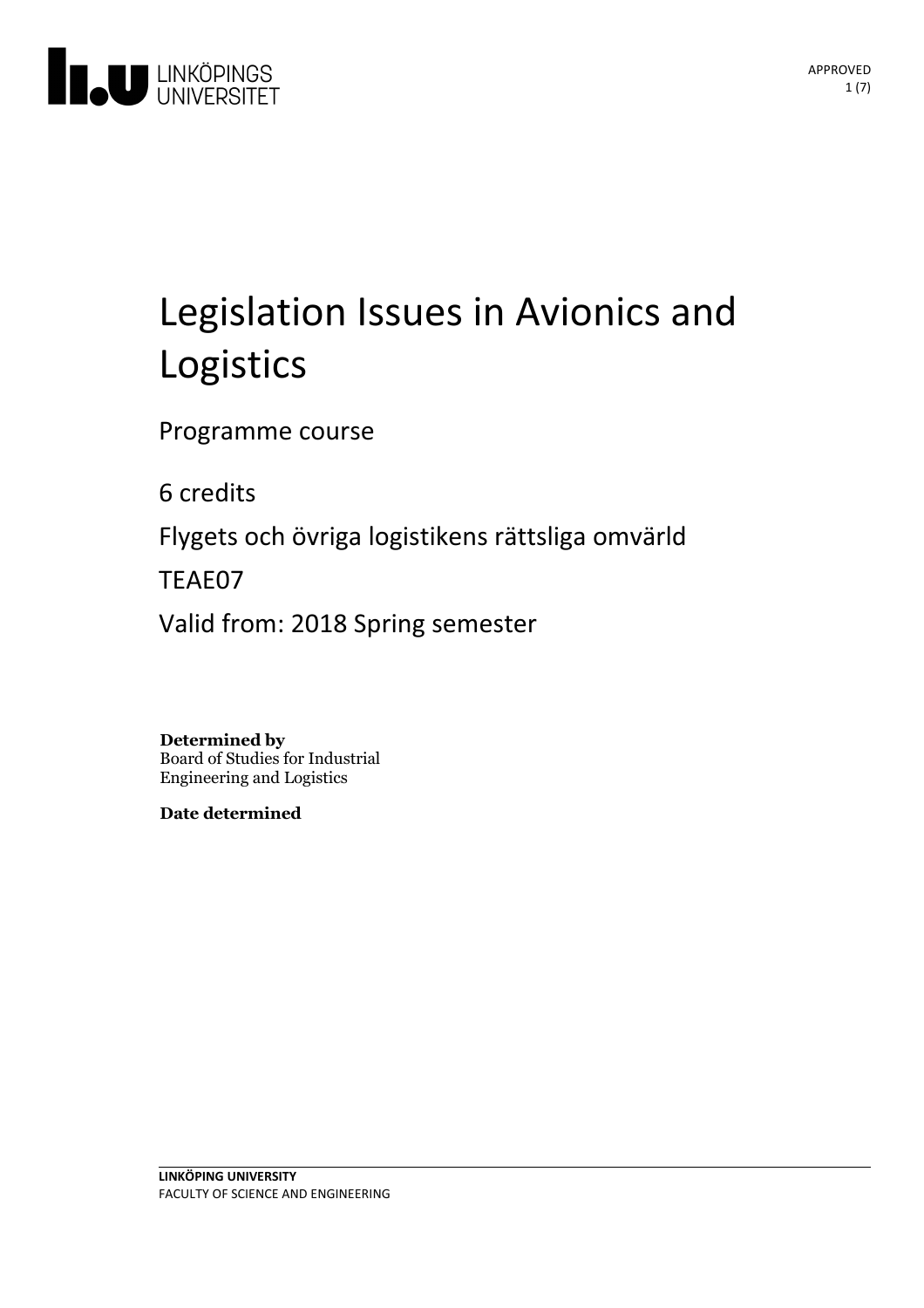

# Legislation Issues in Avionics and Logistics

Programme course

6 credits

Flygets och övriga logistikens rättsliga omvärld

TEAE07

Valid from: 2018 Spring semester

**Determined by**

Board of Studies for Industrial Engineering and Logistics

**Date determined**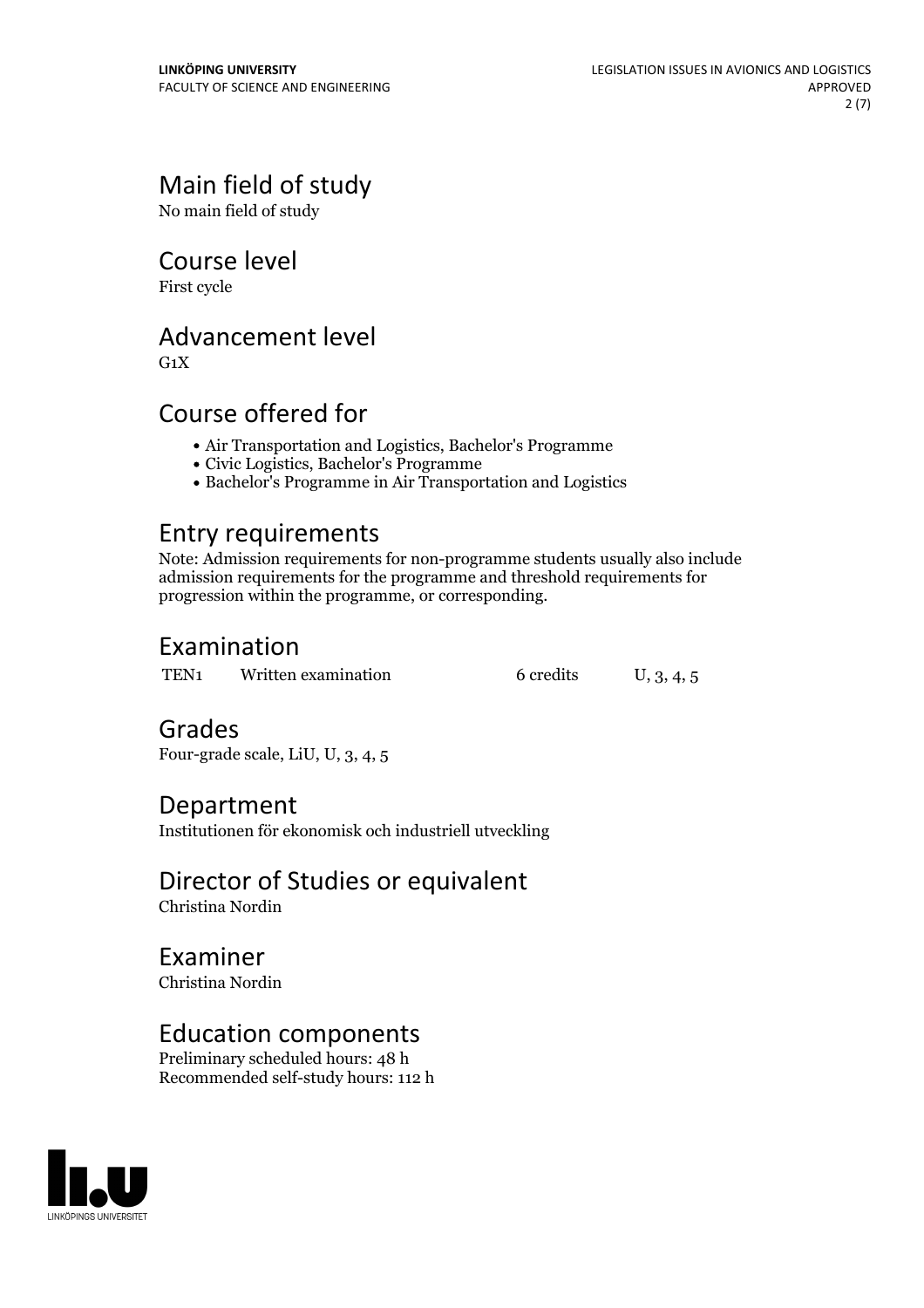# Main field of study

No main field of study

### Course level

First cycle

# Advancement level

 $G_1X$ 

# Course offered for

- Air Transportation and Logistics, Bachelor's Programme
- Civic Logistics, Bachelor's Programme
- Bachelor's Programme in Air Transportation and Logistics

## Entry requirements

Note: Admission requirements for non-programme students usually also include admission requirements for the programme and threshold requirements for progression within the programme, or corresponding.

# Examination

TEN1 Written examination 6 credits U, 3, 4, 5

# Grades

Four-grade scale, LiU, U, 3, 4, 5

## Department

Institutionen för ekonomisk och industriell utveckling

# Director of Studies or equivalent

Christina Nordin

Examiner Christina Nordin

## Education components

Preliminary scheduled hours: 48 h Recommended self-study hours: 112 h

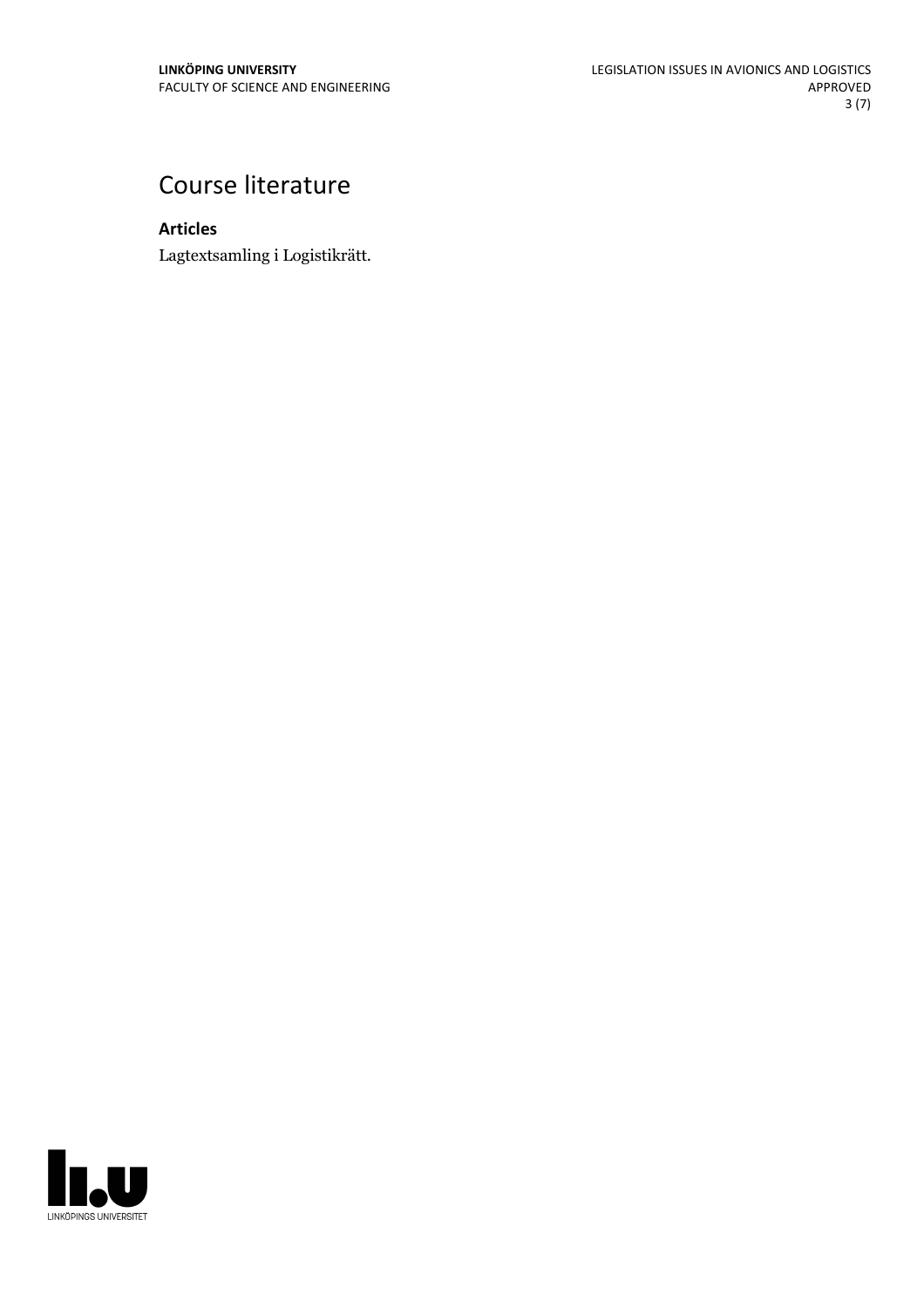# Course literature

**Articles**

Lagtextsamling i Logistikrätt.

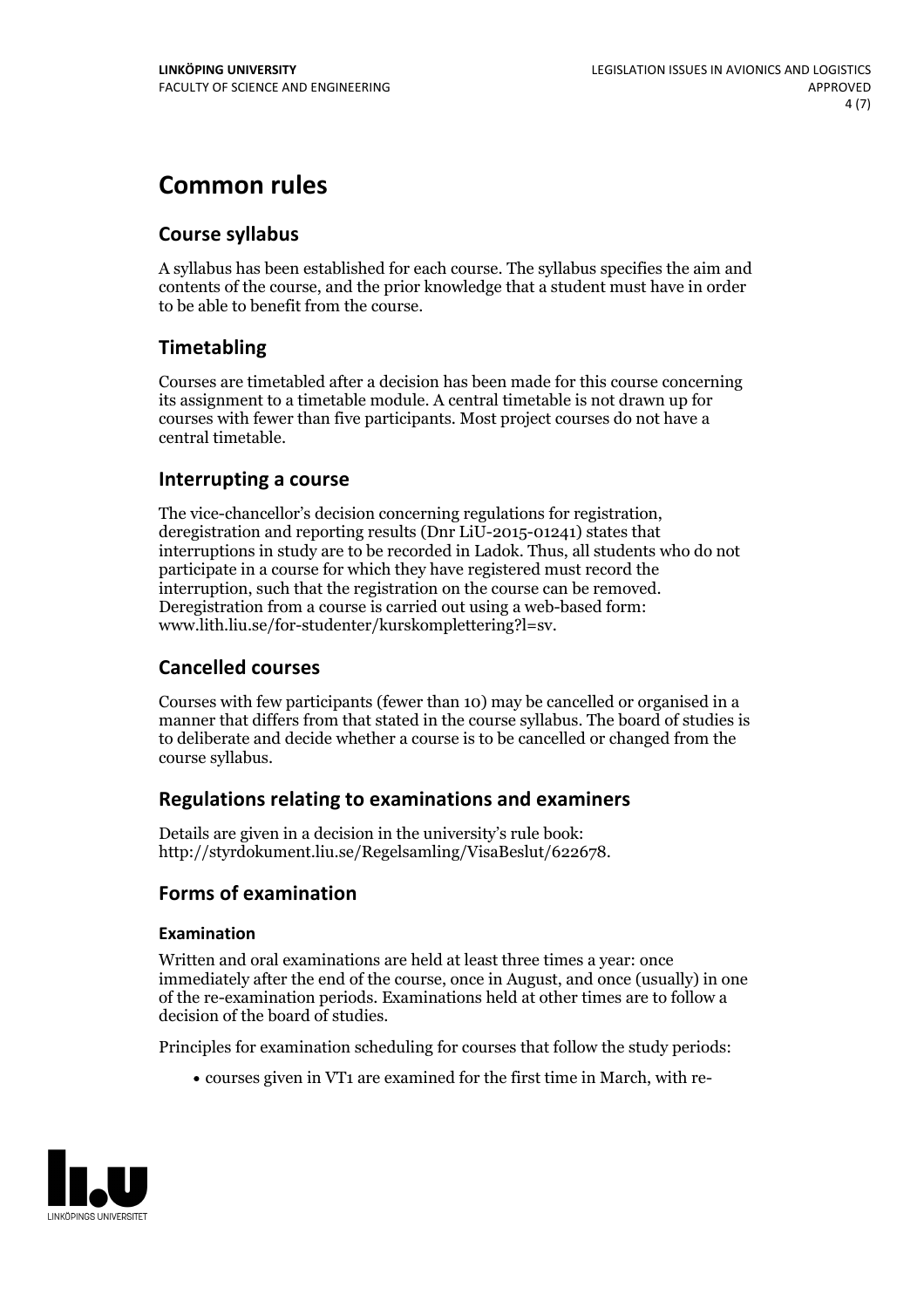# **Common rules**

#### **Course syllabus**

A syllabus has been established for each course. The syllabus specifies the aim and contents of the course, and the prior knowledge that a student must have in order to be able to benefit from the course.

#### **Timetabling**

Courses are timetabled after a decision has been made for this course concerning its assignment to a timetable module. A central timetable is not drawn up for courses with fewer than five participants. Most project courses do not have a central timetable.

#### **Interrupting a course**

The vice-chancellor's decision concerning regulations for registration, deregistration and reporting results (Dnr LiU-2015-01241) states that interruptions in study are to be recorded in Ladok. Thus, all students who do not participate in a course for which they have registered must record the interruption, such that the registration on the course can be removed. Deregistration from <sup>a</sup> course is carried outusing <sup>a</sup> web-based form: www.lith.liu.se/for-studenter/kurskomplettering?l=sv.

#### **Cancelled courses**

Courses with few participants (fewer than 10) may be cancelled or organised in a manner that differs from that stated in the course syllabus. The board of studies is to deliberate and decide whether a course is to be cancelled orchanged from the course syllabus.

#### **Regulations relatingto examinations and examiners**

Details are given in a decision in the university's rule book: http://styrdokument.liu.se/Regelsamling/VisaBeslut/622678.

#### **Forms of examination**

#### **Examination**

Written and oral examinations are held at least three times a year: once immediately after the end of the course, once in August, and once (usually) in one of the re-examination periods. Examinations held at other times are to follow a decision of the board of studies.

Principles for examination scheduling for courses that follow the study periods:

courses given in VT1 are examined for the first time in March, with re-

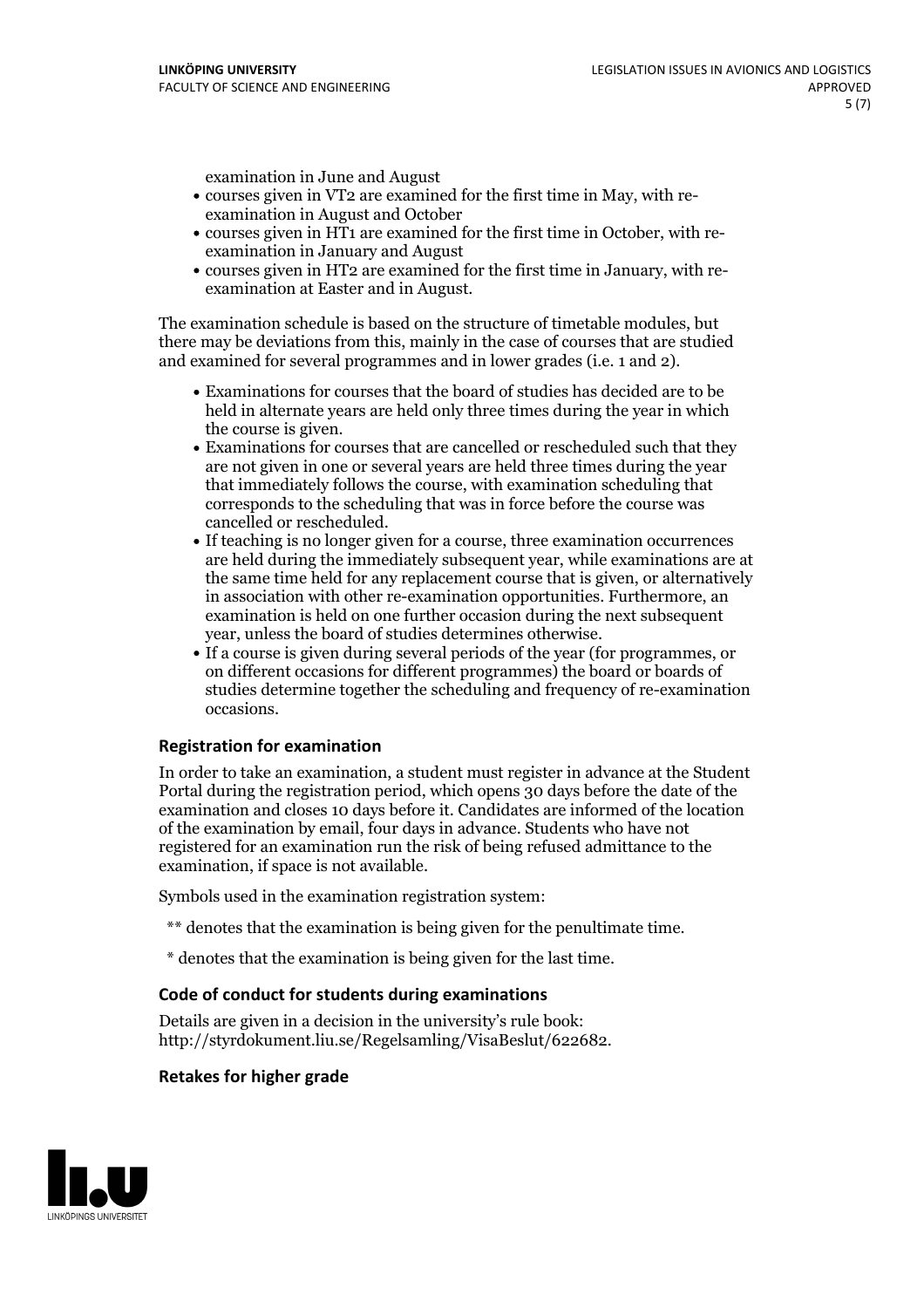examination in June and August

- courses given in VT2 are examined for the first time in May, with re-examination in August and October
- courses given in HT1 are examined for the first time in October, with re-examination in January and August
- courses given in HT2 are examined for the first time in January, with re-examination at Easter and in August.

The examination schedule is based on the structure of timetable modules, but there may be deviations from this, mainly in the case of courses that are studied and examined for several programmes and in lower grades (i.e. 1 and 2).

- Examinations for courses that the board of studies has decided are to be held in alternate years are held only three times during the year in which
- the course is given.<br>• Examinations for courses that are cancelled or rescheduled such that they are not given in one or several years are held three times during the year that immediately follows the course, with examination scheduling that corresponds to the scheduling that was in force before the course was cancelled or rescheduled.<br>• If teaching is no longer given for a course, three examination occurrences
- are held during the immediately subsequent year, while examinations are at the same time held for any replacement course that is given, or alternatively in association with other re-examination opportunities. Furthermore, an examination is held on one further occasion during the next subsequent year, unless the board of studies determines otherwise.<br>• If a course is given during several periods of the year (for programmes, or
- on different occasions for different programmes) the board orboards of studies determine together the scheduling and frequency of re-examination occasions.

#### **Registration for examination**

In order to take an examination, a student must register in advance at the Student Portal during the registration period, which opens 30 days before the date of the examination and closes 10 days before it. Candidates are informed of the location of the examination by email, four days in advance. Students who have not registered for an examination run the risk of being refused admittance to the examination, if space is not available.

Symbols used in the examination registration system:

- \*\* denotes that the examination is being given for the penultimate time.
- \* denotes that the examination is being given for the last time.

#### **Code of conduct for students during examinations**

Details are given in a decision in the university's rule book: http://styrdokument.liu.se/Regelsamling/VisaBeslut/622682.

#### **Retakes for higher grade**

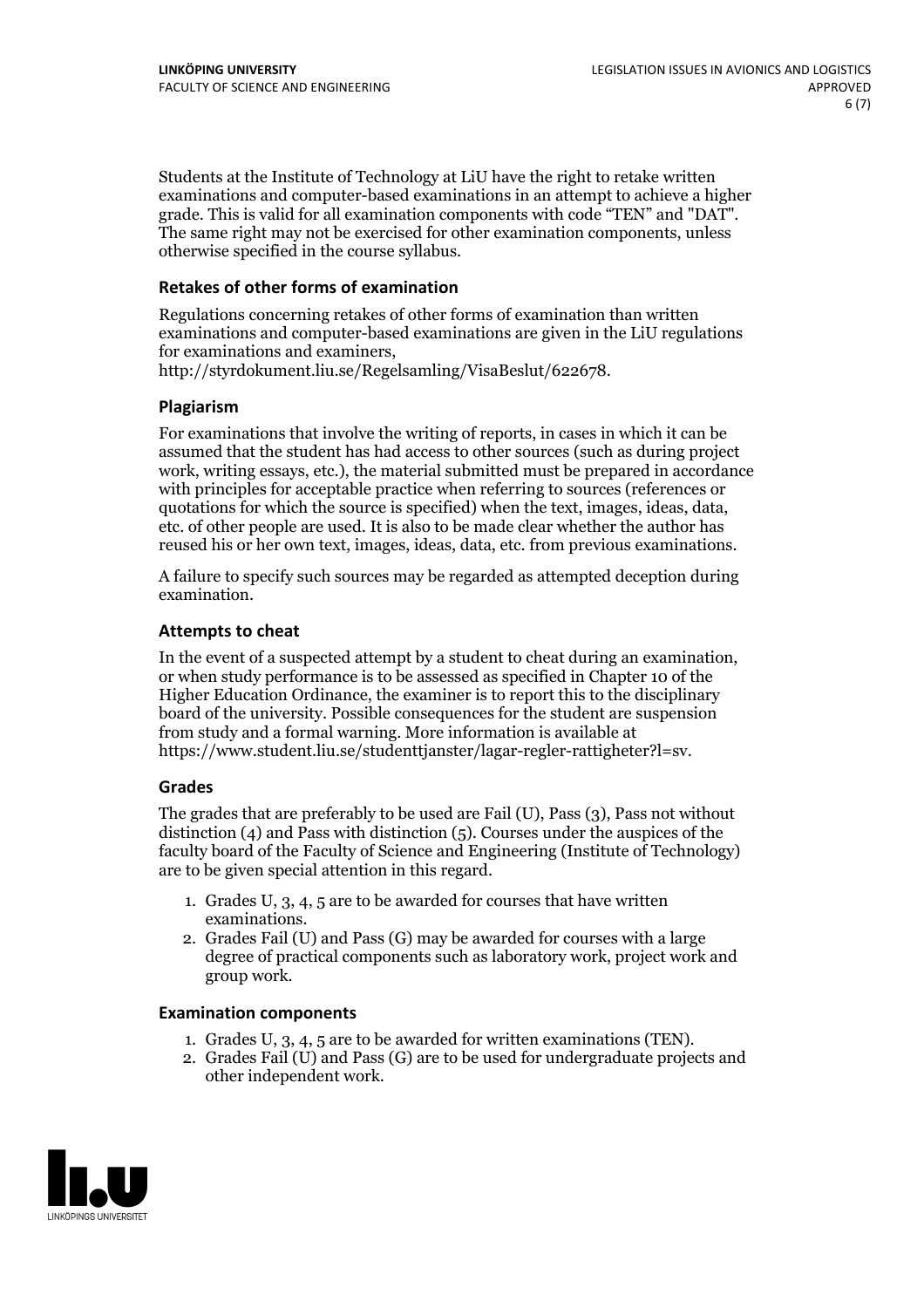Students at the Institute of Technology at LiU have the right to retake written examinations and computer-based examinations in an attempt to achieve a higher grade. This is valid for all examination components with code "TEN" and "DAT". The same right may not be exercised for other examination components, unless otherwise specified in the course syllabus.

#### **Retakes of other forms of examination**

Regulations concerning retakes of other forms of examination than written examinations and computer-based examinations are given in the LiU regulations for examinations and examiners, http://styrdokument.liu.se/Regelsamling/VisaBeslut/622678.

#### **Plagiarism**

For examinations that involve the writing of reports, in cases in which it can be assumed that the student has had access to other sources (such as during project work, writing essays, etc.), the material submitted must be prepared in accordance with principles for acceptable practice when referring to sources (references or quotations for which the source is specified) when the text, images, ideas, data, etc. of other people are used. It is also to be made clear whether the author has reused his or her own text, images, ideas, data, etc. from previous examinations.

A failure to specify such sources may be regarded as attempted deception during examination.

#### **Attempts to cheat**

In the event of <sup>a</sup> suspected attempt by <sup>a</sup> student to cheat during an examination, or when study performance is to be assessed as specified in Chapter <sup>10</sup> of the Higher Education Ordinance, the examiner is to report this to the disciplinary board of the university. Possible consequences for the student are suspension from study and a formal warning. More information is available at https://www.student.liu.se/studenttjanster/lagar-regler-rattigheter?l=sv.

#### **Grades**

The grades that are preferably to be used are Fail (U), Pass (3), Pass not without distinction  $(4)$  and Pass with distinction  $(5)$ . Courses under the auspices of the faculty board of the Faculty of Science and Engineering (Institute of Technology) are to be given special attention in this regard.

- 1. Grades U, 3, 4, 5 are to be awarded for courses that have written
- examinations. 2. Grades Fail (U) and Pass (G) may be awarded for courses with <sup>a</sup> large degree of practical components such as laboratory work, project work and group work.

#### **Examination components**

- 
- 1. Grades U, 3, 4, <sup>5</sup> are to be awarded for written examinations (TEN). 2. Grades Fail (U) and Pass (G) are to be used for undergraduate projects and other independent work.